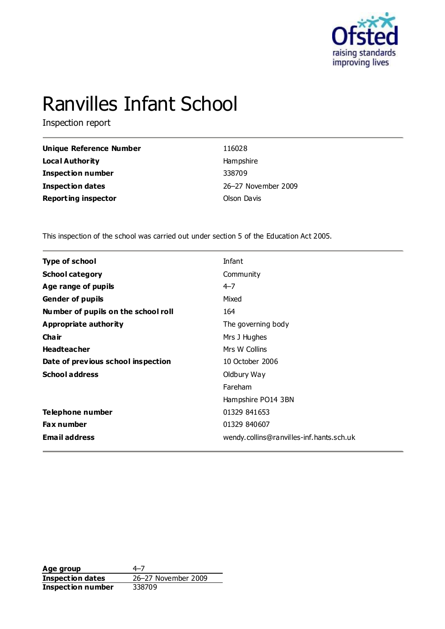

# Ranvilles Infant School

Inspection report

| Unique Reference Number    | 116028              |
|----------------------------|---------------------|
| <b>Local Authority</b>     | Hampshire           |
| Inspection number          | 338709              |
| <b>Inspection dates</b>    | 26-27 November 2009 |
| <b>Reporting inspector</b> | Olson Davis         |

This inspection of the school was carried out under section 5 of the Education Act 2005.

| <b>Type of school</b>               | Infant                                   |
|-------------------------------------|------------------------------------------|
| <b>School category</b>              | Community                                |
| Age range of pupils                 | $4 - 7$                                  |
| <b>Gender of pupils</b>             | Mixed                                    |
| Number of pupils on the school roll | 164                                      |
| <b>Appropriate authority</b>        | The governing body                       |
| Cha ir                              | Mrs J Hughes                             |
| <b>Headteacher</b>                  | Mrs W Collins                            |
| Date of previous school inspection  | 10 October 2006                          |
| <b>School address</b>               | Oldbury Way                              |
|                                     | Fareham                                  |
|                                     | Hampshire PO14 3BN                       |
| Telephone number                    | 01329 841653                             |
| Fax number                          | 01329 840607                             |
| <b>Email address</b>                | wendy.collins@ranvilles-inf.hants.sch.uk |
|                                     |                                          |

**Age group** 4–7 **Inspection dates** 26–27 November 2009 **Inspection dates**<br>**Inspection number**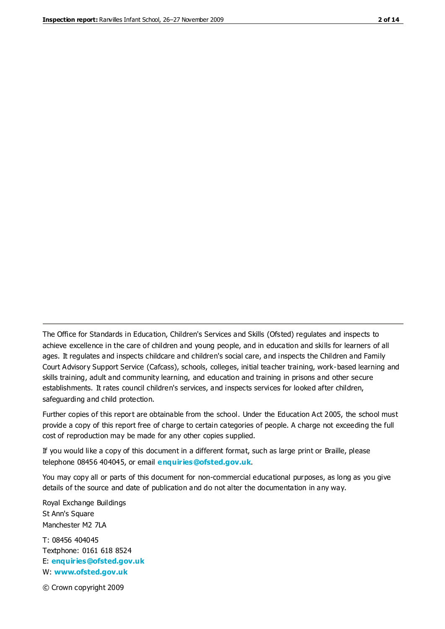The Office for Standards in Education, Children's Services and Skills (Ofsted) regulates and inspects to achieve excellence in the care of children and young people, and in education and skills for learners of all ages. It regulates and inspects childcare and children's social care, and inspects the Children and Family Court Advisory Support Service (Cafcass), schools, colleges, initial teacher training, work-based learning and skills training, adult and community learning, and education and training in prisons and other secure establishments. It rates council children's services, and inspects services for looked after children, safeguarding and child protection.

Further copies of this report are obtainable from the school. Under the Education Act 2005, the school must provide a copy of this report free of charge to certain categories of people. A charge not exceeding the full cost of reproduction may be made for any other copies supplied.

If you would like a copy of this document in a different format, such as large print or Braille, please telephone 08456 404045, or email **[enquiries@ofsted.gov.uk](mailto:enquiries@ofsted.gov.uk)**.

You may copy all or parts of this document for non-commercial educational purposes, as long as you give details of the source and date of publication and do not alter the documentation in any way.

Royal Exchange Buildings St Ann's Square Manchester M2 7LA

T: 08456 404045 Textphone: 0161 618 8524 E: **[enquiries@ofsted.gov.uk](mailto:enquiries@ofsted.gov.uk)** W: **[www.ofsted.gov.uk](http://www.ofsted.gov.uk/)**

© Crown copyright 2009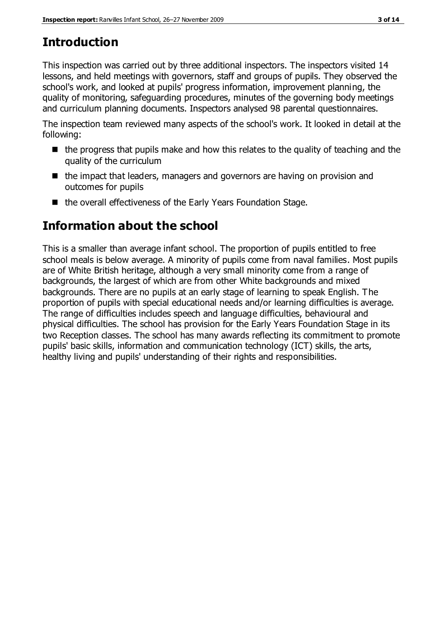# **Introduction**

This inspection was carried out by three additional inspectors. The inspectors visited 14 lessons, and held meetings with governors, staff and groups of pupils. They observed the school's work, and looked at pupils' progress information, improvement planning, the quality of monitoring, safeguarding procedures, minutes of the governing body meetings and curriculum planning documents. Inspectors analysed 98 parental questionnaires.

The inspection team reviewed many aspects of the school's work. It looked in detail at the following:

- $\blacksquare$  the progress that pupils make and how this relates to the quality of teaching and the quality of the curriculum
- the impact that leaders, managers and governors are having on provision and outcomes for pupils
- the overall effectiveness of the Early Years Foundation Stage.

# **Information about the school**

This is a smaller than average infant school. The proportion of pupils entitled to free school meals is below average. A minority of pupils come from naval families. Most pupils are of White British heritage, although a very small minority come from a range of backgrounds, the largest of which are from other White backgrounds and mixed backgrounds. There are no pupils at an early stage of learning to speak English. The proportion of pupils with special educational needs and/or learning difficulties is average. The range of difficulties includes speech and language difficulties, behavioural and physical difficulties. The school has provision for the Early Years Foundation Stage in its two Reception classes. The school has many awards reflecting its commitment to promote pupils' basic skills, information and communication technology (ICT) skills, the arts, healthy living and pupils' understanding of their rights and responsibilities.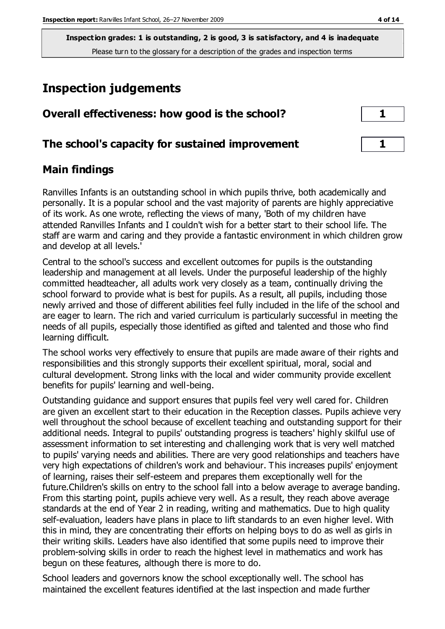**Inspection grades: 1 is outstanding, 2 is good, 3 is satisfactory, and 4 is inadequate** Please turn to the glossary for a description of the grades and inspection terms

# **Inspection judgements**

| Overall effectiveness: how good is the school?  |  |
|-------------------------------------------------|--|
| The school's capacity for sustained improvement |  |

#### **Main findings**

Ranvilles Infants is an outstanding school in which pupils thrive, both academically and personally. It is a popular school and the vast majority of parents are highly appreciative of its work. As one wrote, reflecting the views of many, 'Both of my children have attended Ranvilles Infants and I couldn't wish for a better start to their school life. The staff are warm and caring and they provide a fantastic environment in which children grow and develop at all levels.'

Central to the school's success and excellent outcomes for pupils is the outstanding leadership and management at all levels. Under the purposeful leadership of the highly committed headteacher, all adults work very closely as a team, continually driving the school forward to provide what is best for pupils. As a result, all pupils, including those newly arrived and those of different abilities feel fully included in the life of the school and are eager to learn. The rich and varied curriculum is particularly successful in meeting the needs of all pupils, especially those identified as gifted and talented and those who find learning difficult.

The school works very effectively to ensure that pupils are made aware of their rights and responsibilities and this strongly supports their excellent spiritual, moral, social and cultural development. Strong links with the local and wider community provide excellent benefits for pupils' learning and well-being.

Outstanding guidance and support ensures that pupils feel very well cared for. Children are given an excellent start to their education in the Reception classes. Pupils achieve very well throughout the school because of excellent teaching and outstanding support for their additional needs. Integral to pupils' outstanding progress is teachers' highly skilful use of assessment information to set interesting and challenging work that is very well matched to pupils' varying needs and abilities. There are very good relationships and teachers have very high expectations of children's work and behaviour. This increases pupils' enjoyment of learning, raises their self-esteem and prepares them exceptionally well for the future.Children's skills on entry to the school fall into a below average to average banding. From this starting point, pupils achieve very well. As a result, they reach above average standards at the end of Year 2 in reading, writing and mathematics. Due to high quality self-evaluation, leaders have plans in place to lift standards to an even higher level. With this in mind, they are concentrating their efforts on helping boys to do as well as girls in their writing skills. Leaders have also identified that some pupils need to improve their problem-solving skills in order to reach the highest level in mathematics and work has begun on these features, although there is more to do.

School leaders and governors know the school exceptionally well. The school has maintained the excellent features identified at the last inspection and made further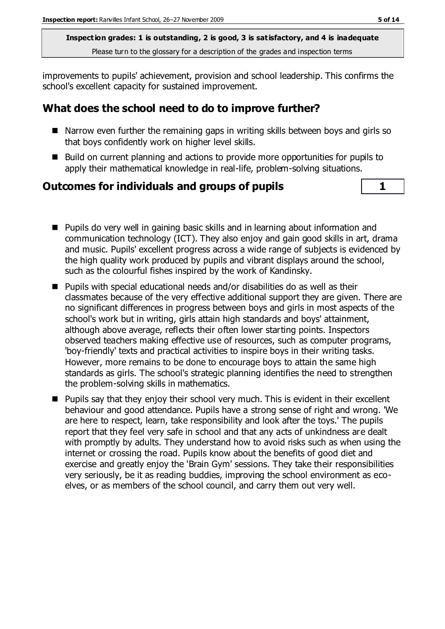**Inspection grades: 1 is outstanding, 2 is good, 3 is satisfactory, and 4 is inadequate** Please turn to the glossary for a description of the grades and inspection terms

improvements to pupils' achievement, provision and school leadership. This confirms the school's excellent capacity for sustained improvement.

#### **What does the school need to do to improve further?**

- Narrow even further the remaining gaps in writing skills between boys and girls so that boys confidently work on higher level skills.
- Build on current planning and actions to provide more opportunities for pupils to apply their mathematical knowledge in real-life, problem-solving situations.

#### **Outcomes for individuals and groups of pupils 1**

- **Pupils do very well in gaining basic skills and in learning about information and** communication technology (ICT). They also enjoy and gain good skills in art, drama and music. Pupils' excellent progress across a wide range of subjects is evidenced by the high quality work produced by pupils and vibrant displays around the school, such as the colourful fishes inspired by the work of Kandinsky.
- Pupils with special educational needs and/or disabilities do as well as their classmates because of the very effective additional support they are given. There are no significant differences in progress between boys and girls in most aspects of the school's work but in writing, girls attain high standards and boys' attainment, although above average, reflects their often lower starting points. Inspectors observed teachers making effective use of resources, such as computer programs, 'boy-friendly' texts and practical activities to inspire boys in their writing tasks. However, more remains to be done to encourage boys to attain the same high standards as girls. The school's strategic planning identifies the need to strengthen the problem-solving skills in mathematics.
- Pupils say that they enjoy their school very much. This is evident in their excellent behaviour and good attendance. Pupils have a strong sense of right and wrong. 'We are here to respect, learn, take responsibility and look after the toys.' The pupils report that they feel very safe in school and that any acts of unkindness are dealt with promptly by adults. They understand how to avoid risks such as when using the internet or crossing the road. Pupils know about the benefits of good diet and exercise and greatly enjoy the 'Brain Gym' sessions. They take their responsibilities very seriously, be it as reading buddies, improving the school environment as ecoelves, or as members of the school council, and carry them out very well.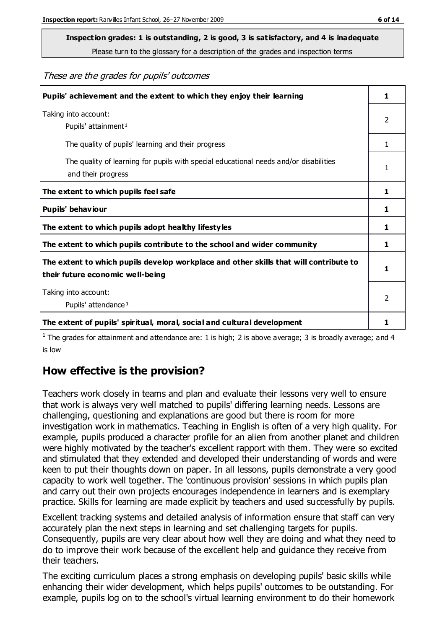# **Inspection grades: 1 is outstanding, 2 is good, 3 is satisfactory, and 4 is inadequate**

Please turn to the glossary for a description of the grades and inspection terms

#### These are the grades for pupils' outcomes

| Pupils' achievement and the extent to which they enjoy their learning                                                     | 1              |
|---------------------------------------------------------------------------------------------------------------------------|----------------|
| Taking into account:<br>Pupils' attainment <sup>1</sup>                                                                   | 2              |
| The quality of pupils' learning and their progress                                                                        | 1.             |
| The quality of learning for pupils with special educational needs and/or disabilities<br>and their progress               | 1              |
| The extent to which pupils feel safe                                                                                      | 1              |
| Pupils' behaviour                                                                                                         | 1              |
| The extent to which pupils adopt healthy lifestyles                                                                       | 1              |
| The extent to which pupils contribute to the school and wider community                                                   | 1              |
| The extent to which pupils develop workplace and other skills that will contribute to<br>their future economic well-being | 1              |
| Taking into account:<br>Pupils' attendance <sup>1</sup>                                                                   | $\mathfrak{D}$ |
| The extent of pupils' spiritual, moral, social and cultural development                                                   | 1              |

<sup>1</sup> The grades for attainment and attendance are: 1 is high; 2 is above average; 3 is broadly average; and 4 is low

#### **How effective is the provision?**

Teachers work closely in teams and plan and evaluate their lessons very well to ensure that work is always very well matched to pupils' differing learning needs. Lessons are challenging, questioning and explanations are good but there is room for more investigation work in mathematics. Teaching in English is often of a very high quality. For example, pupils produced a character profile for an alien from another planet and children were highly motivated by the teacher's excellent rapport with them. They were so excited and stimulated that they extended and developed their understanding of words and were keen to put their thoughts down on paper. In all lessons, pupils demonstrate a very good capacity to work well together. The 'continuous provision' sessions in which pupils plan and carry out their own projects encourages independence in learners and is exemplary practice. Skills for learning are made explicit by teachers and used successfully by pupils.

Excellent tracking systems and detailed analysis of information ensure that staff can very accurately plan the next steps in learning and set challenging targets for pupils. Consequently, pupils are very clear about how well they are doing and what they need to do to improve their work because of the excellent help and guidance they receive from their teachers.

The exciting curriculum places a strong emphasis on developing pupils' basic skills while enhancing their wider development, which helps pupils' outcomes to be outstanding. For example, pupils log on to the school's virtual learning environment to do their homework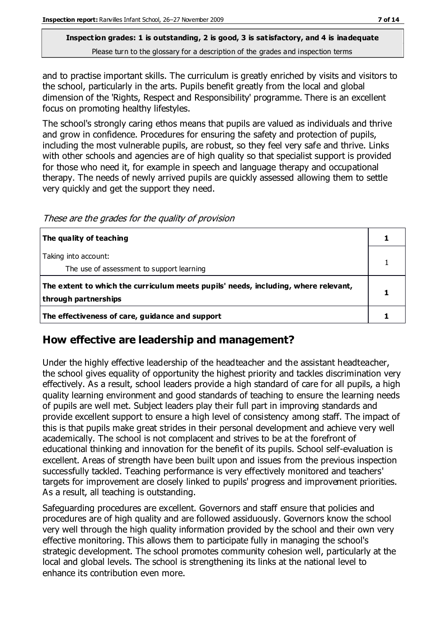#### **Inspection grades: 1 is outstanding, 2 is good, 3 is satisfactory, and 4 is inadequate** Please turn to the glossary for a description of the grades and inspection terms

and to practise important skills. The curriculum is greatly enriched by visits and visitors to the school, particularly in the arts. Pupils benefit greatly from the local and global dimension of the 'Rights, Respect and Responsibility' programme. There is an excellent focus on promoting healthy lifestyles.

The school's strongly caring ethos means that pupils are valued as individuals and thrive and grow in confidence. Procedures for ensuring the safety and protection of pupils, including the most vulnerable pupils, are robust, so they feel very safe and thrive. Links with other schools and agencies are of high quality so that specialist support is provided for those who need it, for example in speech and language therapy and occupational therapy. The needs of newly arrived pupils are quickly assessed allowing them to settle very quickly and get the support they need.

These are the grades for the quality of provision

| The quality of teaching                                                                                    |  |
|------------------------------------------------------------------------------------------------------------|--|
| Taking into account:<br>The use of assessment to support learning                                          |  |
| The extent to which the curriculum meets pupils' needs, including, where relevant,<br>through partnerships |  |
| The effectiveness of care, guidance and support                                                            |  |

#### **How effective are leadership and management?**

Under the highly effective leadership of the headteacher and the assistant headteacher, the school gives equality of opportunity the highest priority and tackles discrimination very effectively. As a result, school leaders provide a high standard of care for all pupils, a high quality learning environment and good standards of teaching to ensure the learning needs of pupils are well met. Subject leaders play their full part in improving standards and provide excellent support to ensure a high level of consistency among staff. The impact of this is that pupils make great strides in their personal development and achieve very well academically. The school is not complacent and strives to be at the forefront of educational thinking and innovation for the benefit of its pupils. School self-evaluation is excellent. Areas of strength have been built upon and issues from the previous inspection successfully tackled. Teaching performance is very effectively monitored and teachers' targets for improvement are closely linked to pupils' progress and improvement priorities. As a result, all teaching is outstanding.

Safeguarding procedures are excellent. Governors and staff ensure that policies and procedures are of high quality and are followed assiduously. Governors know the school very well through the high quality information provided by the school and their own very effective monitoring. This allows them to participate fully in managing the school's strategic development. The school promotes community cohesion well, particularly at the local and global levels. The school is strengthening its links at the national level to enhance its contribution even more.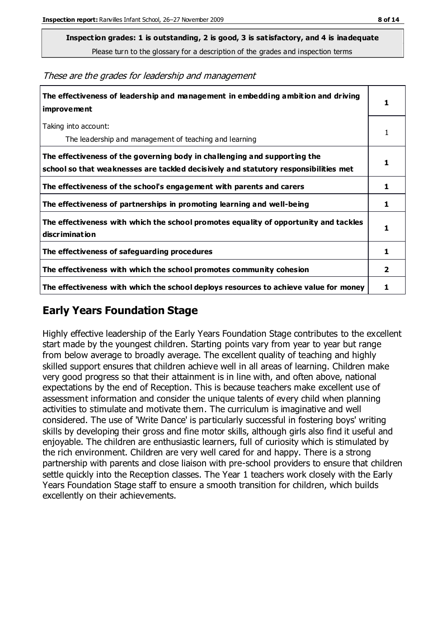**Inspection grades: 1 is outstanding, 2 is good, 3 is satisfactory, and 4 is inadequate**

Please turn to the glossary for a description of the grades and inspection terms

These are the grades for leadership and management

| The effectiveness of leadership and management in embedding ambition and driving<br>improvement                                                                  |                |
|------------------------------------------------------------------------------------------------------------------------------------------------------------------|----------------|
| Taking into account:<br>The leadership and management of teaching and learning                                                                                   |                |
| The effectiveness of the governing body in challenging and supporting the<br>school so that weaknesses are tackled decisively and statutory responsibilities met | 1              |
| The effectiveness of the school's engagement with parents and carers                                                                                             | 1              |
| The effectiveness of partnerships in promoting learning and well-being                                                                                           | 1              |
| The effectiveness with which the school promotes equality of opportunity and tackles<br>discrimination                                                           | 1              |
| The effectiveness of safeguarding procedures                                                                                                                     | 1              |
| The effectiveness with which the school promotes community cohesion                                                                                              | $\overline{2}$ |
| The effectiveness with which the school deploys resources to achieve value for money                                                                             |                |

#### **Early Years Foundation Stage**

Highly effective leadership of the Early Years Foundation Stage contributes to the excellent start made by the youngest children. Starting points vary from year to year but range from below average to broadly average. The excellent quality of teaching and highly skilled support ensures that children achieve well in all areas of learning. Children make very good progress so that their attainment is in line with, and often above, national expectations by the end of Reception. This is because teachers make excellent use of assessment information and consider the unique talents of every child when planning activities to stimulate and motivate them. The curriculum is imaginative and well considered. The use of 'Write Dance' is particularly successful in fostering boys' writing skills by developing their gross and fine motor skills, although girls also find it useful and enjoyable. The children are enthusiastic learners, full of curiosity which is stimulated by the rich environment. Children are very well cared for and happy. There is a strong partnership with parents and close liaison with pre-school providers to ensure that children settle quickly into the Reception classes. The Year 1 teachers work closely with the Early Years Foundation Stage staff to ensure a smooth transition for children, which builds excellently on their achievements.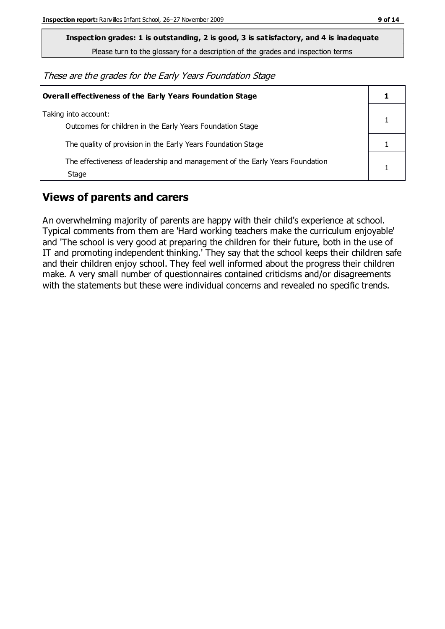**Inspection grades: 1 is outstanding, 2 is good, 3 is satisfactory, and 4 is inadequate**

Please turn to the glossary for a description of the grades and inspection terms

These are the grades for the Early Years Foundation Stage

| Overall effectiveness of the Early Years Foundation Stage                             |  |
|---------------------------------------------------------------------------------------|--|
| Taking into account:<br>Outcomes for children in the Early Years Foundation Stage     |  |
| The quality of provision in the Early Years Foundation Stage                          |  |
| The effectiveness of leadership and management of the Early Years Foundation<br>Stage |  |

#### **Views of parents and carers**

An overwhelming majority of parents are happy with their child's experience at school. Typical comments from them are 'Hard working teachers make the curriculum enjoyable' and 'The school is very good at preparing the children for their future, both in the use of IT and promoting independent thinking.' They say that the school keeps their children safe and their children enjoy school. They feel well informed about the progress their children make. A very small number of questionnaires contained criticisms and/or disagreements with the statements but these were individual concerns and revealed no specific trends.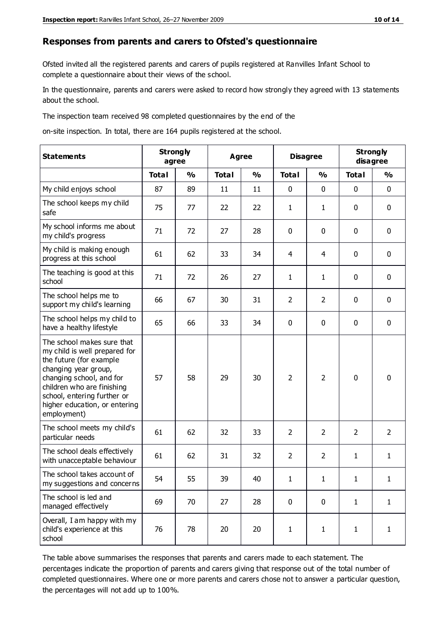#### **Responses from parents and carers to Ofsted's questionnaire**

Ofsted invited all the registered parents and carers of pupils registered at Ranvilles Infant School to complete a questionnaire about their views of the school.

In the questionnaire, parents and carers were asked to record how strongly they agreed with 13 statements about the school.

The inspection team received 98 completed questionnaires by the end of the

on-site inspection. In total, there are 164 pupils registered at the school.

| <b>Statements</b>                                                                                                                                                                                                                                       | <b>Strongly</b><br>agree |               | <b>Agree</b> |               | <b>Disagree</b> |                | <b>Strongly</b><br>disagree |                |
|---------------------------------------------------------------------------------------------------------------------------------------------------------------------------------------------------------------------------------------------------------|--------------------------|---------------|--------------|---------------|-----------------|----------------|-----------------------------|----------------|
|                                                                                                                                                                                                                                                         | <b>Total</b>             | $\frac{0}{0}$ | <b>Total</b> | $\frac{0}{0}$ | <b>Total</b>    | $\frac{1}{2}$  | <b>Total</b>                | $\frac{0}{0}$  |
| My child enjoys school                                                                                                                                                                                                                                  | 87                       | 89            | 11           | 11            | $\mathbf 0$     | $\mathbf 0$    | $\mathbf 0$                 | $\mathbf 0$    |
| The school keeps my child<br>safe                                                                                                                                                                                                                       | 75                       | 77            | 22           | 22            | 1               | 1              | $\mathbf 0$                 | $\mathbf 0$    |
| My school informs me about<br>my child's progress                                                                                                                                                                                                       | 71                       | 72            | 27           | 28            | 0               | $\mathbf{0}$   | $\mathbf 0$                 | $\mathbf 0$    |
| My child is making enough<br>progress at this school                                                                                                                                                                                                    | 61                       | 62            | 33           | 34            | 4               | 4              | $\mathbf 0$                 | $\mathbf 0$    |
| The teaching is good at this<br>school                                                                                                                                                                                                                  | 71                       | 72            | 26           | 27            | $\mathbf{1}$    | 1              | $\mathbf 0$                 | $\mathbf 0$    |
| The school helps me to<br>support my child's learning                                                                                                                                                                                                   | 66                       | 67            | 30           | 31            | $\overline{2}$  | $\overline{2}$ | $\mathbf 0$                 | $\mathbf 0$    |
| The school helps my child to<br>have a healthy lifestyle                                                                                                                                                                                                | 65                       | 66            | 33           | 34            | $\pmb{0}$       | $\mathbf 0$    | $\mathbf 0$                 | $\mathbf 0$    |
| The school makes sure that<br>my child is well prepared for<br>the future (for example<br>changing year group,<br>changing school, and for<br>children who are finishing<br>school, entering further or<br>higher education, or entering<br>employment) | 57                       | 58            | 29           | 30            | $\overline{2}$  | $\overline{2}$ | $\mathbf 0$                 | $\mathbf 0$    |
| The school meets my child's<br>particular needs                                                                                                                                                                                                         | 61                       | 62            | 32           | 33            | $\overline{2}$  | $\overline{2}$ | $\overline{2}$              | $\overline{2}$ |
| The school deals effectively<br>with unacceptable behaviour                                                                                                                                                                                             | 61                       | 62            | 31           | 32            | $\overline{2}$  | $\overline{2}$ | $\mathbf{1}$                | $\mathbf{1}$   |
| The school takes account of<br>my suggestions and concerns                                                                                                                                                                                              | 54                       | 55            | 39           | 40            | $\mathbf{1}$    | 1              | 1                           | 1              |
| The school is led and<br>managed effectively                                                                                                                                                                                                            | 69                       | 70            | 27           | 28            | 0               | $\mathbf 0$    | $\mathbf{1}$                | $\mathbf{1}$   |
| Overall, I am happy with my<br>child's experience at this<br>school                                                                                                                                                                                     | 76                       | 78            | 20           | 20            | $\mathbf{1}$    | $\mathbf{1}$   | $\mathbf{1}$                | $\mathbf{1}$   |

The table above summarises the responses that parents and carers made to each statement. The percentages indicate the proportion of parents and carers giving that response out of the total number of completed questionnaires. Where one or more parents and carers chose not to answer a particular question, the percentages will not add up to 100%.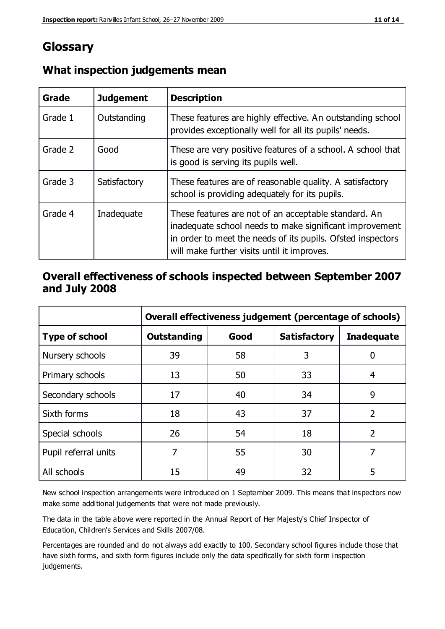### **Glossary**

| Grade   | <b>Judgement</b> | <b>Description</b>                                                                                                                                                                                                            |
|---------|------------------|-------------------------------------------------------------------------------------------------------------------------------------------------------------------------------------------------------------------------------|
| Grade 1 | Outstanding      | These features are highly effective. An outstanding school<br>provides exceptionally well for all its pupils' needs.                                                                                                          |
| Grade 2 | Good             | These are very positive features of a school. A school that<br>is good is serving its pupils well.                                                                                                                            |
| Grade 3 | Satisfactory     | These features are of reasonable quality. A satisfactory<br>school is providing adequately for its pupils.                                                                                                                    |
| Grade 4 | Inadequate       | These features are not of an acceptable standard. An<br>inadequate school needs to make significant improvement<br>in order to meet the needs of its pupils. Ofsted inspectors<br>will make further visits until it improves. |

#### **What inspection judgements mean**

#### **Overall effectiveness of schools inspected between September 2007 and July 2008**

|                       | Overall effectiveness judgement (percentage of schools) |      |                     |                   |
|-----------------------|---------------------------------------------------------|------|---------------------|-------------------|
| <b>Type of school</b> | <b>Outstanding</b>                                      | Good | <b>Satisfactory</b> | <b>Inadequate</b> |
| Nursery schools       | 39                                                      | 58   | 3                   |                   |
| Primary schools       | 13                                                      | 50   | 33                  | 4                 |
| Secondary schools     | 17                                                      | 40   | 34                  | 9                 |
| Sixth forms           | 18                                                      | 43   | 37                  | $\overline{2}$    |
| Special schools       | 26                                                      | 54   | 18                  | $\mathcal{P}$     |
| Pupil referral units  | 7                                                       | 55   | 30                  |                   |
| All schools           | 15                                                      | 49   | 32                  | 5                 |

New school inspection arrangements were introduced on 1 September 2009. This means that inspectors now make some additional judgements that were not made previously.

The data in the table above were reported in the Annual Report of Her Majesty's Chief Inspector of Education, Children's Services and Skills 2007/08.

Percentages are rounded and do not always add exactly to 100. Secondary school figures include those that have sixth forms, and sixth form figures include only the data specifically for sixth form inspection judgements.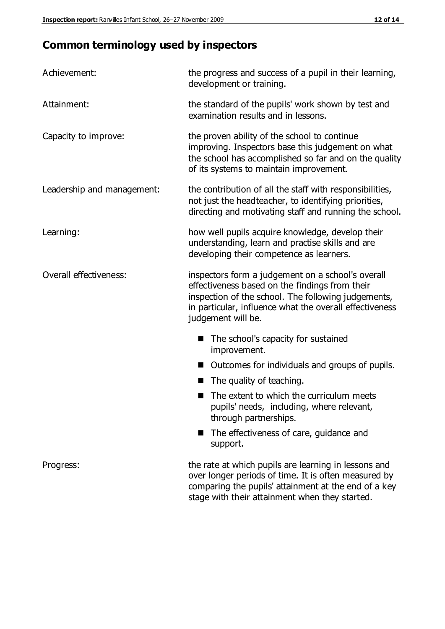## **Common terminology used by inspectors**

| Achievement:                  | the progress and success of a pupil in their learning,<br>development or training.                                                                                                                                                          |  |
|-------------------------------|---------------------------------------------------------------------------------------------------------------------------------------------------------------------------------------------------------------------------------------------|--|
| Attainment:                   | the standard of the pupils' work shown by test and<br>examination results and in lessons.                                                                                                                                                   |  |
| Capacity to improve:          | the proven ability of the school to continue<br>improving. Inspectors base this judgement on what<br>the school has accomplished so far and on the quality<br>of its systems to maintain improvement.                                       |  |
| Leadership and management:    | the contribution of all the staff with responsibilities,<br>not just the headteacher, to identifying priorities,<br>directing and motivating staff and running the school.                                                                  |  |
| Learning:                     | how well pupils acquire knowledge, develop their<br>understanding, learn and practise skills and are<br>developing their competence as learners.                                                                                            |  |
| <b>Overall effectiveness:</b> | inspectors form a judgement on a school's overall<br>effectiveness based on the findings from their<br>inspection of the school. The following judgements,<br>in particular, influence what the overall effectiveness<br>judgement will be. |  |
|                               | The school's capacity for sustained<br>improvement.                                                                                                                                                                                         |  |
|                               | Outcomes for individuals and groups of pupils.                                                                                                                                                                                              |  |
|                               | The quality of teaching.                                                                                                                                                                                                                    |  |
|                               | The extent to which the curriculum meets<br>pupils' needs, including, where relevant,<br>through partnerships.                                                                                                                              |  |
|                               | The effectiveness of care, guidance and<br>support.                                                                                                                                                                                         |  |
| Progress:                     | the rate at which pupils are learning in lessons and<br>over longer periods of time. It is often measured by<br>comparing the pupils' attainment at the end of a key                                                                        |  |

stage with their attainment when they started.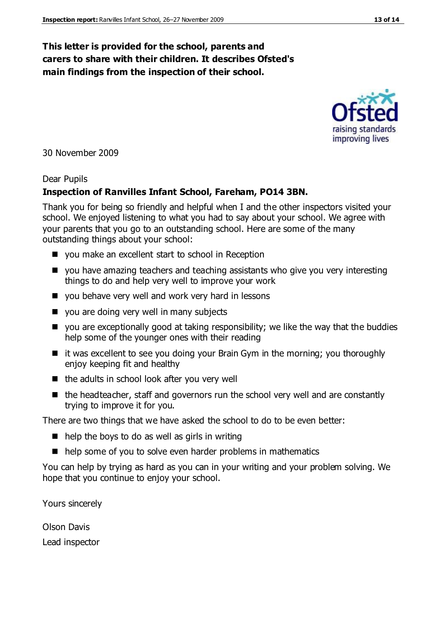#### **This letter is provided for the school, parents and carers to share with their children. It describes Ofsted's main findings from the inspection of their school.**

30 November 2009

#### Dear Pupils

#### **Inspection of Ranvilles Infant School, Fareham, PO14 3BN.**

Thank you for being so friendly and helpful when I and the other inspectors visited your school. We enjoyed listening to what you had to say about your school. We agree with your parents that you go to an outstanding school. Here are some of the many outstanding things about your school:

- you make an excellent start to school in Reception
- you have amazing teachers and teaching assistants who give you very interesting things to do and help very well to improve your work
- you behave very well and work very hard in lessons
- vou are doing very well in many subjects
- you are exceptionally good at taking responsibility; we like the way that the buddies help some of the younger ones with their reading
- $\blacksquare$  it was excellent to see you doing your Brain Gym in the morning; you thoroughly enjoy keeping fit and healthy
- $\blacksquare$  the adults in school look after you very well
- $\blacksquare$  the headteacher, staff and governors run the school very well and are constantly trying to improve it for you.

There are two things that we have asked the school to do to be even better:

- $\blacksquare$  help the boys to do as well as girls in writing
- help some of you to solve even harder problems in mathematics

You can help by trying as hard as you can in your writing and your problem solving. We hope that you continue to enjoy your school.

Yours sincerely

Olson Davis Lead inspector